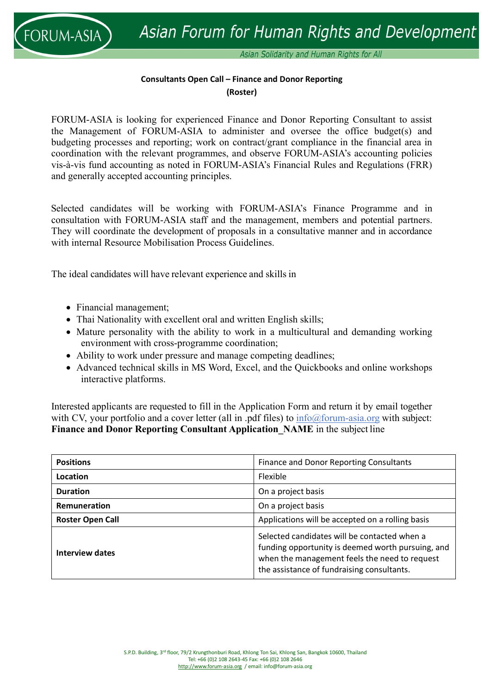

Asian Solidarity and Human Rights for All

## **Consultants Open Call – Finance and Donor Reporting (Roster)**

FORUM-ASIA is looking for experienced Finance and Donor Reporting Consultant to assist the Management of FORUM‐ASIA to administer and oversee the office budget(s) and budgeting processes and reporting; work on contract/grant compliance in the financial area in coordination with the relevant programmes, and observe FORUM‐ASIA's accounting policies vis‐à‐vis fund accounting as noted in FORUM‐ASIA's Financial Rules and Regulations (FRR) and generally accepted accounting principles.

Selected candidates will be working with FORUM-ASIA's Finance Programme and in consultation with FORUM-ASIA staff and the management, members and potential partners. They will coordinate the development of proposals in a consultative manner and in accordance with internal Resource Mobilisation Process Guidelines.

The ideal candidates will have relevant experience and skills in

- Financial management;
- Thai Nationality with excellent oral and written English skills;
- Mature personality with the ability to work in a multicultural and demanding working environment with cross‐programme coordination;
- Ability to work under pressure and manage competing deadlines;
- Advanced technical skills in MS Word, Excel, and the Quickbooks and online workshops interactive platforms.

Interested applicants are requested to fill in the Application Form and return it by email together with CV, your portfolio and a cover letter (all in .pdf files) to  $info@form\text{-}asia.org$  with subject: **Finance and Donor Reporting Consultant Application\_NAME** in the subject line

| <b>Positions</b>        | Finance and Donor Reporting Consultants                                                                                                                                                          |
|-------------------------|--------------------------------------------------------------------------------------------------------------------------------------------------------------------------------------------------|
| <b>Location</b>         | Flexible                                                                                                                                                                                         |
| <b>Duration</b>         | On a project basis                                                                                                                                                                               |
| Remuneration            | On a project basis                                                                                                                                                                               |
| <b>Roster Open Call</b> | Applications will be accepted on a rolling basis                                                                                                                                                 |
| Interview dates         | Selected candidates will be contacted when a<br>funding opportunity is deemed worth pursuing, and<br>when the management feels the need to request<br>the assistance of fundraising consultants. |